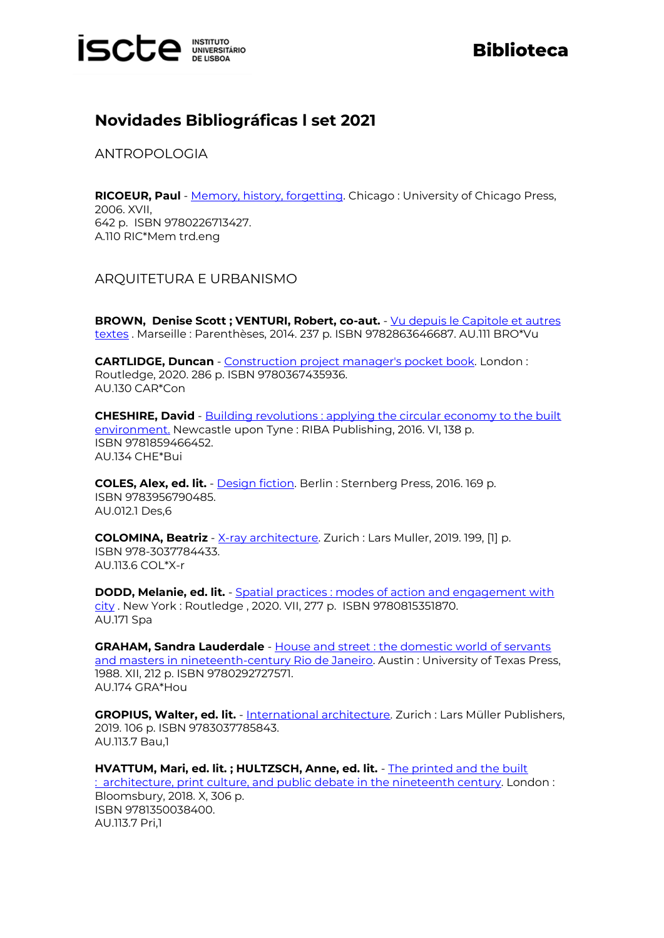

## **Biblioteca**

## **Novidades Bibliográficas l set 2021**

ANTROPOLOGIA

**RICOEUR, Paul** - [Memory, history, forgetting.](https://catalogo.biblioteca.iscte-iul.pt/cgi-bin/koha/opac-detail.pl?biblionumber=112133) Chicago : University of Chicago Press, 2006. XVII, 642 p. ISBN 9780226713427. A.110 RIC\*Mem trd.eng

ARQUITETURA E URBANISMO

**BROWN, Denise Scott ; VENTURI, Robert, co-aut.** - [Vu depuis le Capitole et autres](https://catalogo.biblioteca.iscte-iul.pt/cgi-bin/koha/opac-detail.pl?biblionumber=112180)  [textes](https://catalogo.biblioteca.iscte-iul.pt/cgi-bin/koha/opac-detail.pl?biblionumber=112180) . Marseille : Parenthèses, 2014. 237 p. ISBN 9782863646687. AU.111 BRO\*Vu

**CARTLIDGE, Duncan** - [Construction project manager's pocket book.](https://catalogo.biblioteca.iscte-iul.pt/cgi-bin/koha/opac-detail.pl?biblionumber=112140) London : Routledge, 2020. 286 p. ISBN 9780367435936. AU.130 CAR\*Con

**CHESHIRE, David** - [Building revolutions : applying the circular economy to the built](https://catalogo.biblioteca.iscte-iul.pt/cgi-bin/koha/opac-detail.pl?biblionumber=112126)  [environment.](https://catalogo.biblioteca.iscte-iul.pt/cgi-bin/koha/opac-detail.pl?biblionumber=112126) Newcastle upon Tyne : RIBA Publishing, 2016. VI, 138 p. ISBN 9781859466452. AU.134 CHE\*Bui

**COLES, Alex, ed. lit.** - [Design fiction.](https://catalogo.biblioteca.iscte-iul.pt/cgi-bin/koha/opac-detail.pl?biblionumber=112238) Berlin : Sternberg Press, 2016. 169 p. ISBN 9783956790485. AU.012.1 Des,6

**COLOMINA, Beatriz** - [X-ray architecture.](https://catalogo.biblioteca.iscte-iul.pt/cgi-bin/koha/opac-detail.pl?biblionumber=112147) Zurich : Lars Muller, 2019. 199, [1] p. ISBN 978-3037784433. AU.113.6 COL\*X-r

**DODD, Melanie, ed. lit.** - [Spatial practices : modes of action and engagement with](https://catalogo.biblioteca.iscte-iul.pt/cgi-bin/koha/opac-detail.pl?biblionumber=112154)  [city](https://catalogo.biblioteca.iscte-iul.pt/cgi-bin/koha/opac-detail.pl?biblionumber=112154) . New York : Routledge , 2020. VII, 277 p. ISBN 9780815351870. AU.171 Spa

**GRAHAM, Sandra Lauderdale** - [House and street : the domestic world of servants](https://catalogo.biblioteca.iscte-iul.pt/cgi-bin/koha/opac-detail.pl?biblionumber=112204)  [and masters in nineteenth-century Rio de Janeiro.](https://catalogo.biblioteca.iscte-iul.pt/cgi-bin/koha/opac-detail.pl?biblionumber=112204) Austin : University of Texas Press, 1988. XII, 212 p. ISBN 9780292727571. AU.174 GRA\*Hou

**GROPIUS, Walter, ed. lit.** - [International architecture.](https://catalogo.biblioteca.iscte-iul.pt/cgi-bin/koha/opac-detail.pl?biblionumber=112113) Zurich : Lars Müller Publishers, 2019. 106 p. ISBN 9783037785843. AU.113.7 Bau,1

**HVATTUM, Mari, ed. lit. ; HULTZSCH, Anne, ed. lit.** - [The printed and the built](https://catalogo.biblioteca.iscte-iul.pt/cgi-bin/koha/opac-detail.pl?biblionumber=112143)  : [architecture, print culture, and public debate in the nineteenth century.](https://catalogo.biblioteca.iscte-iul.pt/cgi-bin/koha/opac-detail.pl?biblionumber=112143) London : Bloomsbury, 2018. X, 306 p. ISBN 9781350038400. AU.113.7 Pri,1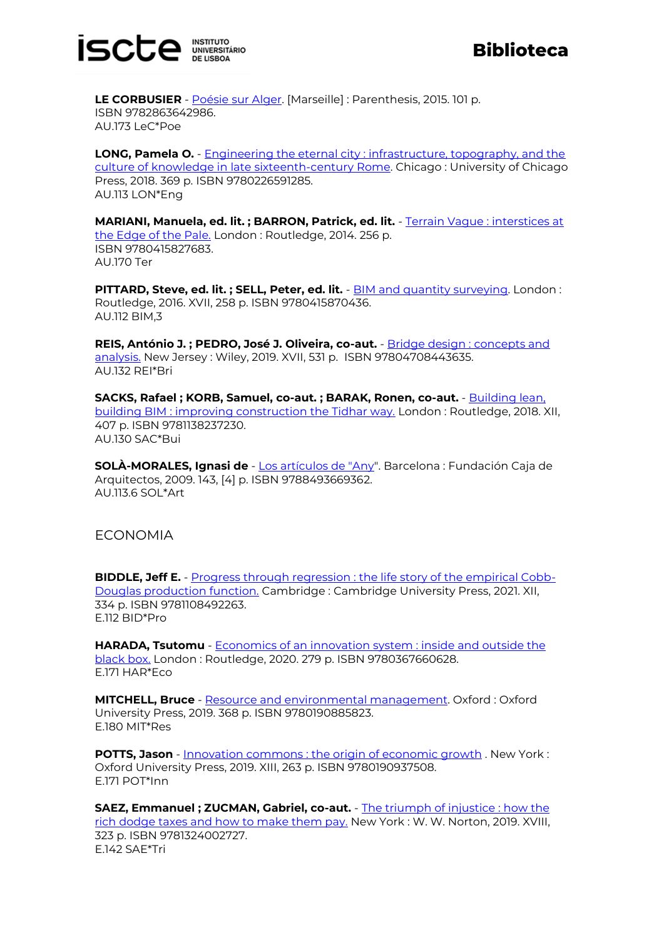

**Biblioteca**

**LE CORBUSIER** - [Poésie sur Alger.](https://catalogo.biblioteca.iscte-iul.pt/cgi-bin/koha/opac-detail.pl?biblionumber=112184) [Marseille] : Parenthesis, 2015. 101 p. ISBN 9782863642986. AU.173 LeC\*Poe

**LONG, Pamela O.** - [Engineering the eternal city : infrastructure, topography, and the](https://catalogo.biblioteca.iscte-iul.pt/cgi-bin/koha/opac-detail.pl?biblionumber=112200)  [culture of knowledge in late](https://catalogo.biblioteca.iscte-iul.pt/cgi-bin/koha/opac-detail.pl?biblionumber=112200) sixteenth-century Rome. Chicago : University of Chicago Press, 2018. 369 p. ISBN 9780226591285. AU.113 LON\*Eng

**MARIANI, Manuela, ed. lit. ; BARRON, Patrick, ed. lit.** - [Terrain Vague : interstices at](https://catalogo.biblioteca.iscte-iul.pt/cgi-bin/koha/opac-detail.pl?biblionumber=112139)  [the Edge of the Pale.](https://catalogo.biblioteca.iscte-iul.pt/cgi-bin/koha/opac-detail.pl?biblionumber=112139) London : Routledge, 2014. 256 p. ISBN 9780415827683. AU.170 Ter

**PITTARD, Steve, ed. lit. ; SELL, Peter, ed. lit.** - **BIM and quantity surveying**. London : Routledge, 2016. XVII, 258 p. ISBN 9780415870436. AU.112 BIM,3

**REIS, António J. ; PEDRO, José J. Oliveira, co-aut.** - [Bridge design : concepts and](https://catalogo.biblioteca.iscte-iul.pt/cgi-bin/koha/opac-detail.pl?biblionumber=112120)  [analysis.](https://catalogo.biblioteca.iscte-iul.pt/cgi-bin/koha/opac-detail.pl?biblionumber=112120) New Jersey : Wiley, 2019. XVII, 531 p. ISBN 97804708443635. AU.132 REI\*Bri

**SACKS, Rafael ; KORB, Samuel, co-aut. ; BARAK, Ronen, co-aut.** - [Building lean,](https://catalogo.biblioteca.iscte-iul.pt/cgi-bin/koha/opac-detail.pl?biblionumber=112156)  [building BIM : improving construction the Tidhar way.](https://catalogo.biblioteca.iscte-iul.pt/cgi-bin/koha/opac-detail.pl?biblionumber=112156) London : Routledge, 2018. XII, 407 p. ISBN 9781138237230. AU.130 SAC\*Bui

**SOLÀ-MORALES, Ignasi de** - [Los artículos de "Any"](https://catalogo.biblioteca.iscte-iul.pt/cgi-bin/koha/opac-detail.pl?biblionumber=112205). Barcelona : Fundación Caja de Arquitectos, 2009. 143, [4] p. ISBN 9788493669362. AU.113.6 SOL\*Art

ECONOMIA

**BIDDLE, Jeff E.** - [Progress through regression : the life story of the empirical Cobb-](https://catalogo.biblioteca.iscte-iul.pt/cgi-bin/koha/opac-detail.pl?biblionumber=112159)[Douglas production function.](https://catalogo.biblioteca.iscte-iul.pt/cgi-bin/koha/opac-detail.pl?biblionumber=112159) Cambridge : Cambridge University Press, 2021. XII, 334 p. ISBN 9781108492263. E.112 BID\*Pro

**HARADA, Tsutomu** - [Economics of an innovation system : inside and outside the](https://catalogo.biblioteca.iscte-iul.pt/cgi-bin/koha/opac-detail.pl?biblionumber=112136)  [black box.](https://catalogo.biblioteca.iscte-iul.pt/cgi-bin/koha/opac-detail.pl?biblionumber=112136) London : Routledge, 2020. 279 p. ISBN 9780367660628. E.171 HAR\*Eco

**MITCHELL, Bruce** - [Resource and environmental management.](https://catalogo.biblioteca.iscte-iul.pt/cgi-bin/koha/opac-detail.pl?biblionumber=112116) Oxford : Oxford University Press, 2019. 368 p. ISBN 9780190885823. E.180 MIT\*Res

**POTTS, Jason** - [Innovation commons : the origin of economic growth](https://catalogo.biblioteca.iscte-iul.pt/cgi-bin/koha/opac-detail.pl?biblionumber=112162) . New York : Oxford University Press, 2019. XIII, 263 p. ISBN 9780190937508. E.171 POT\*Inn

**SAEZ, Emmanuel ; ZUCMAN, Gabriel, co-aut.** - [The triumph of injustice : how the](https://catalogo.biblioteca.iscte-iul.pt/cgi-bin/koha/opac-detail.pl?biblionumber=112100)  [rich dodge taxes and how to make them pay.](https://catalogo.biblioteca.iscte-iul.pt/cgi-bin/koha/opac-detail.pl?biblionumber=112100) New York : W. W. Norton, 2019. XVIII, 323 p. ISBN 9781324002727. E.142 SAE\*Tri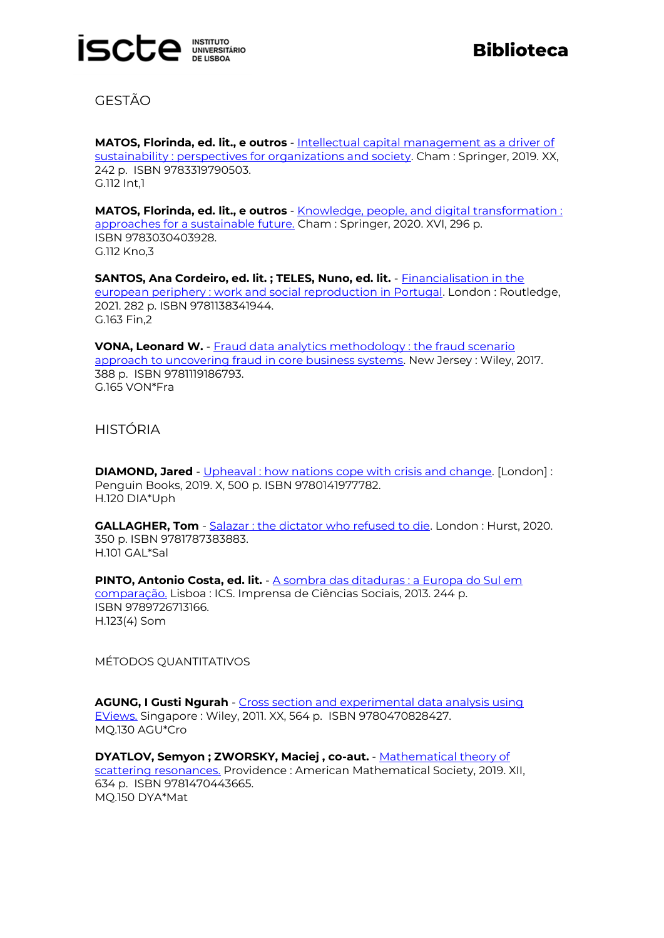

GESTÃO

**MATOS, Florinda, ed. lit., e outros** - [Intellectual capital management as a driver of](https://catalogo.biblioteca.iscte-iul.pt/cgi-bin/koha/opac-detail.pl?biblionumber=112099)  [sustainability : perspectives for organizations and society.](https://catalogo.biblioteca.iscte-iul.pt/cgi-bin/koha/opac-detail.pl?biblionumber=112099) Cham : Springer, 2019. XX, 242 p. ISBN 9783319790503. G.112 Int,1

**MATOS, Florinda, ed. lit., e outros** - Knowledge, people, and digital transformation: [approaches for a sustainable future.](https://catalogo.biblioteca.iscte-iul.pt/cgi-bin/koha/opac-detail.pl?biblionumber=112320) Cham : Springer, 2020. XVI, 296 p. ISBN 9783030403928. G.112 Kno,3

**SANTOS, Ana Cordeiro, ed. lit. ; TELES, Nuno, ed. lit.** - [Financialisation in the](https://catalogo.biblioteca.iscte-iul.pt/cgi-bin/koha/opac-detail.pl?biblionumber=112137)  [european periphery : work and social reproduction in Portugal.](https://catalogo.biblioteca.iscte-iul.pt/cgi-bin/koha/opac-detail.pl?biblionumber=112137) London : Routledge, 2021. 282 p. ISBN 9781138341944. G.163 Fin,2

**VONA, Leonard W.** - [Fraud data analytics methodology : the fraud scenario](https://catalogo.biblioteca.iscte-iul.pt/cgi-bin/koha/opac-detail.pl?biblionumber=112101)  [approach to uncovering fraud in core business systems.](https://catalogo.biblioteca.iscte-iul.pt/cgi-bin/koha/opac-detail.pl?biblionumber=112101) New Jersey : Wiley, 2017. 388 p. ISBN 9781119186793. G.165 VON\*Fra

## HISTÓRIA

**DIAMOND, Jared** - [Upheaval : how nations cope with crisis and change.](https://catalogo.biblioteca.iscte-iul.pt/cgi-bin/koha/opac-detail.pl?biblionumber=112125) [London] : Penguin Books, 2019. X, 500 p. ISBN 9780141977782. H.120 DIA\*Uph

**GALLAGHER, Tom** - [Salazar : the dictator who refused to die.](https://catalogo.biblioteca.iscte-iul.pt/cgi-bin/koha/opac-detail.pl?biblionumber=112132) London : Hurst, 2020. 350 p. ISBN 9781787383883. H.101 GAL\*Sal

**PINTO, Antonio Costa, ed. lit.** - A sombra das ditaduras : a Europa do Sul em [comparação.](https://catalogo.biblioteca.iscte-iul.pt/cgi-bin/koha/opac-detail.pl?biblionumber=112333) Lisboa : ICS. Imprensa de Ciências Sociais, 2013. 244 p. ISBN 9789726713166. H.123(4) Som

MÉTODOS QUANTITATIVOS

**AGUNG, I Gusti Ngurah** - [Cross section and experimental data analysis using](https://catalogo.biblioteca.iscte-iul.pt/cgi-bin/koha/opac-detail.pl?biblionumber=112142)  [EViews.](https://catalogo.biblioteca.iscte-iul.pt/cgi-bin/koha/opac-detail.pl?biblionumber=112142) Singapore : Wiley, 2011. XX, 564 p. ISBN 9780470828427. MQ.130 AGU\*Cro

**DYATLOV, Semyon ; ZWORSKY, Maciej , co-aut.** - [Mathematical theory of](https://catalogo.biblioteca.iscte-iul.pt/cgi-bin/koha/opac-detail.pl?biblionumber=112530)  [scattering resonances.](https://catalogo.biblioteca.iscte-iul.pt/cgi-bin/koha/opac-detail.pl?biblionumber=112530) Providence: American Mathematical Society, 2019. XII, 634 p. ISBN 9781470443665. MQ.150 DYA\*Mat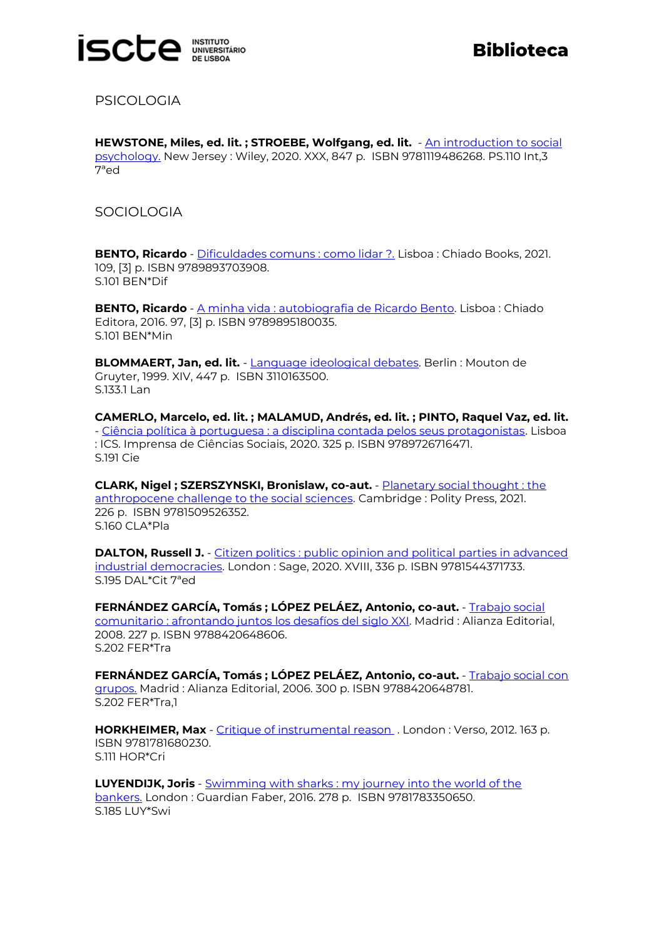

PSICOLOGIA

**HEWSTONE, Miles, ed. lit. ; STROEBE, Wolfgang, ed. lit.** - [An introduction to](https://catalogo.biblioteca.iscte-iul.pt/cgi-bin/koha/opac-detail.pl?biblionumber=112124) social [psychology.](https://catalogo.biblioteca.iscte-iul.pt/cgi-bin/koha/opac-detail.pl?biblionumber=112124) New Jersey : Wiley, 2020. XXX, 847 p. ISBN 9781119486268. PS.110 Int,3 7ªed

SOCIOLOGIA

**BENTO, Ricardo** - [Dificuldades comuns : como lidar ?.](https://catalogo.biblioteca.iscte-iul.pt/cgi-bin/koha/opac-detail.pl?biblionumber=112316) Lisboa : Chiado Books, 2021. 109, [3] p. ISBN 9789893703908. S.101 BEN\*Dif

**BENTO, Ricardo** - [A minha vida : autobiografia de Ricardo Bento.](https://catalogo.biblioteca.iscte-iul.pt/cgi-bin/koha/opac-detail.pl?biblionumber=112315) Lisboa : Chiado Editora, 2016. 97, [3] p. ISBN 9789895180035. S.101 BEN\*Min

**BLOMMAERT, Jan, ed. lit.** - [Language ideological](https://catalogo.biblioteca.iscte-iul.pt/cgi-bin/koha/opac-detail.pl?biblionumber=112190) debates. Berlin : Mouton de Gruyter, 1999. XIV, 447 p. ISBN 3110163500. S.133.1 Lan

**CAMERLO, Marcelo, ed. lit. ; MALAMUD, Andrés, ed. lit. ; PINTO, Raquel Vaz, ed. lit.** - [Ciência política à portuguesa : a disciplina contada pelos seus protagonistas.](https://catalogo.biblioteca.iscte-iul.pt/cgi-bin/koha/opac-detail.pl?biblionumber=112329) Lisboa : ICS. Imprensa de Ciências Sociais, 2020. 325 p. ISBN 9789726716471. S.191 Cie

**CLARK, Nigel ; SZERSZYNSKI, Bronislaw, co-aut.** - [Planetary social thought : the](https://catalogo.biblioteca.iscte-iul.pt/cgi-bin/koha/opac-detail.pl?biblionumber=112206)  [anthropocene challenge to the social sciences.](https://catalogo.biblioteca.iscte-iul.pt/cgi-bin/koha/opac-detail.pl?biblionumber=112206) Cambridge : Polity Press, 2021. 226 p. ISBN 9781509526352. S.160 CLA\*Pla

**DALTON, Russell J.** - Citizen politics : public opinion and political parties in advanced [industrial democracies.](https://catalogo.biblioteca.iscte-iul.pt/cgi-bin/koha/opac-detail.pl?biblionumber=107240) London : Sage, 2020. XVIII, 336 p. ISBN 9781544371733. S.195 DAL\*Cit 7ªed

**FERNÁNDEZ GARCÍA, Tomás ; LÓPEZ PELÁEZ, Antonio, co-aut.** - [Trabajo social](https://catalogo.biblioteca.iscte-iul.pt/cgi-bin/koha/opac-detail.pl?biblionumber=112202)  [comunitario : afrontando juntos los desafíos del siglo XXI.](https://catalogo.biblioteca.iscte-iul.pt/cgi-bin/koha/opac-detail.pl?biblionumber=112202) Madrid : Alianza Editorial, 2008. 227 p. ISBN 9788420648606. S.202 FER\*Tra

**FERNÁNDEZ GARCÍA, Tomás ; LÓPEZ PELÁEZ, Antonio, co-aut.** - [Trabajo social con](https://catalogo.biblioteca.iscte-iul.pt/cgi-bin/koha/opac-detail.pl?biblionumber=112201)  [grupos.](https://catalogo.biblioteca.iscte-iul.pt/cgi-bin/koha/opac-detail.pl?biblionumber=112201) Madrid : Alianza Editorial, 2006. 300 p. ISBN 9788420648781. S.202 FER\*Tra,1

**HORKHEIMER, Max** - [Critique of instrumental reason](https://catalogo.biblioteca.iscte-iul.pt/cgi-bin/koha/opac-detail.pl?biblionumber=112135) . London : Verso, 2012. 163 p. ISBN 9781781680230. S.111 HOR\*Cri

**LUYENDIJK, Joris** - [Swimming with sharks : my journey into the world of the](https://catalogo.biblioteca.iscte-iul.pt/cgi-bin/koha/opac-detail.pl?biblionumber=112129)  [bankers.](https://catalogo.biblioteca.iscte-iul.pt/cgi-bin/koha/opac-detail.pl?biblionumber=112129) London : Guardian Faber, 2016. 278 p. ISBN 9781783350650. S.185 LUY\*Swi